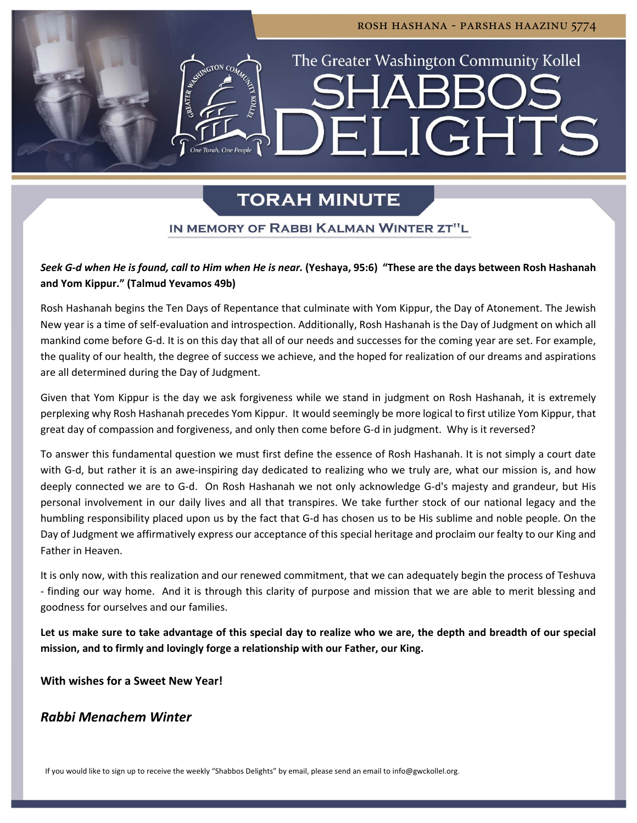# The Greater Washington Community Kollel  $\mathbb{R}$   $\mathbb{R}$   $\mathbb{R}$  $\Box$ GHT

rosh hashana - parshas haazinu 5774

### **TORAH MINUTE**

### IN MEMORY OF RABBI KALMAN WINTER ZT"L

### Seek G-d when He is found, call to Him when He is near. (Yeshaya, 95:6) "These are the days between Rosh Hashanah **and Yom Kippur." (Talmud Yevamos 49b)**

Rosh Hashanah begins the Ten Days of Repentance that culminate with Yom Kippur, the Day of Atonement. The Jewish New year is a time of self‐evaluation and introspection. Additionally, Rosh Hashanah is the Day of Judgment on which all mankind come before G‐d. It is on this day that all of our needs and successes for the coming year are set. For example, the quality of our health, the degree of success we achieve, and the hoped for realization of our dreams and aspirations are all determined during the Day of Judgment.

Given that Yom Kippur is the day we ask forgiveness while we stand in judgment on Rosh Hashanah, it is extremely perplexing why Rosh Hashanah precedes Yom Kippur. It would seemingly be more logical to first utilize Yom Kippur, that great day of compassion and forgiveness, and only then come before G‐d in judgment. Why is it reversed?

To answer this fundamental question we must first define the essence of Rosh Hashanah. It is not simply a court date with G-d, but rather it is an awe-inspiring day dedicated to realizing who we truly are, what our mission is, and how deeply connected we are to G‐d. On Rosh Hashanah we not only acknowledge G‐d's majesty and grandeur, but His personal involvement in our daily lives and all that transpires. We take further stock of our national legacy and the humbling responsibility placed upon us by the fact that G‐d has chosen us to be His sublime and noble people. On the Day of Judgment we affirmatively express our acceptance of this special heritage and proclaim our fealty to our King and Father in Heaven.

It is only now, with this realization and our renewed commitment, that we can adequately begin the process of Teshuva ‐ finding our way home. And it is through this clarity of purpose and mission that we are able to merit blessing and goodness for ourselves and our families.

Let us make sure to take advantage of this special day to realize who we are, the depth and breadth of our special **mission, and to firmly and lovingly forge a relationship with our Father, our King.**

**With wishes for a Sweet New Year!**

### *Rabbi Menachem Winter*

If you would like to sign up to receive the weekly "Shabbos Delights" by email, please send an email to info@gwckollel.org.